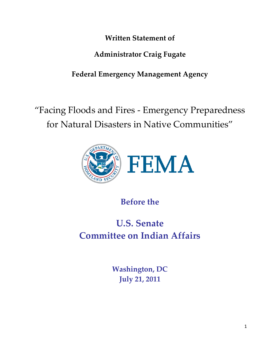## Written Statement of

## Administrator Craig Fugate

Federal Emergency Management Agency

"Facing Floods and Fires - Emergency Preparedness for Natural Disasters in Native Communities"



Before the

# U.S. Senate Committee on Indian Affairs

Washington, DC July 21, 2011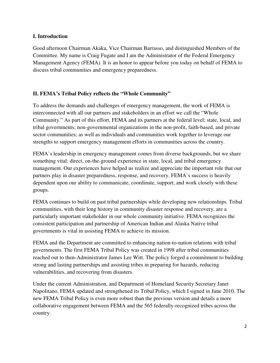#### **I. Introduction**

Good afternoon Chairman Akaka, Vice Chairman Barrasso, and distinguished Members of the Committee. My name is Craig Fugate and I am the Administrator of the Federal Emergency Management Agency (FEMA). It is an honor to appear before you today on behalf of FEMA to discuss tribal communities and emergency preparedness.

#### **II. FEMA's Tribal Policy reflects the "Whole Community"**

To address the demands and challenges of emergency management, the work of FEMA is interconnected with all our partners and stakeholders in an effort we call the "Whole Community." As part of this effort, FEMA and its partners at the federal level; state, local, and tribal governments; non-governmental organizations in the non-profit, faith-based, and private sector communities; as well as individuals and communities work together to leverage our strengths to support emergency management efforts in communities across the country.

FEMA`s leadership in emergency management comes from diverse backgrounds, but we share something vital: direct, on-the-ground experience in state, local, and tribal emergency management. Our experiences have helped us realize and appreciate the important role that our partners play in disaster preparedness, response, and recovery. FEMA`s success is heavily dependent upon our ability to communicate, coordinate, support, and work closely with these groups.

FEMA continues to build on past tribal partnerships while developing new relationships. Tribal communities, with their long history in community disaster response and recovery, are a particularly important stakeholder in our whole community initiative. FEMA recognizes the consistent participation and partnership of American Indian and Alaska Native tribal governments is vital in assisting FEMA to achieve its mission.

FEMA and the Department are committed to enhancing nation-to-nation relations with tribal governments. The first FEMA Tribal Policy was created in 1998 after tribal communities reached out to then-Administrator James Lee Witt. The policy forged a commitment to building strong and lasting partnerships and assisting tribes in preparing for hazards, reducing vulnerabilities, and recovering from disasters.

Under the current Administration, and Department of Homeland Security Secretary Janet Napolitano, FEMA updated and strengthened its Tribal Policy, which I signed in June 2010. The new FEMA Tribal Policy is even more robust than the previous version and details a more collaborative engagement between FEMA and the 565 federally-recognized tribes across the country.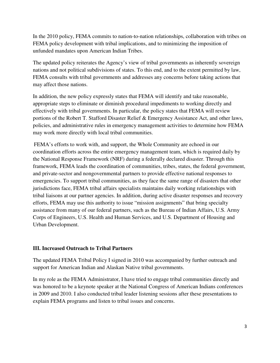In the 2010 policy, FEMA commits to nation-to-nation relationships, collaboration with tribes on FEMA policy development with tribal implications, and to minimizing the imposition of unfunded mandates upon American Indian Tribes.

The updated policy reiterates the Agency's view of tribal governments as inherently sovereign nations and not political subdivisions of states. To this end, and to the extent permitted by law, FEMA consults with tribal governments and addresses any concerns before taking actions that may affect those nations.

In addition, the new policy expressly states that FEMA will identify and take reasonable, appropriate steps to eliminate or diminish procedural impediments to working directly and effectively with tribal governments. In particular, the policy states that FEMA will review portions of the Robert T. Stafford Disaster Relief & Emergency Assistance Act, and other laws, policies, and administrative rules in emergency management activities to determine how FEMA may work more directly with local tribal communities.

FEMA's efforts to work with, and support, the Whole Community are echoed in our coordination efforts across the entire emergency management team, which is required daily by the National Response Framework (NRF) during a federally declared disaster. Through this framework, FEMA leads the coordination of communities, tribes, states, the federal government, and private-sector and nongovernmental partners to provide effective national responses to emergencies. To support tribal communities, as they face the same range of disasters that other jurisdictions face, FEMA tribal affairs specialists maintains daily working relationships with tribal liaisons at our partner agencies. In addition, during active disaster responses and recovery efforts, FEMA may use this authority to issue "mission assignments" that bring specialty assistance from many of our federal partners, such as the Bureau of Indian Affairs, U.S. Army Corps of Engineers, U.S. Health and Human Services, and U.S. Department of Housing and Urban Development.

#### **III. Increased Outreach to Tribal Partners**

The updated FEMA Tribal Policy I signed in 2010 was accompanied by further outreach and support for American Indian and Alaskan Native tribal governments.

In my role as the FEMA Administrator, I have tried to engage tribal communities directly and was honored to be a keynote speaker at the National Congress of American Indians conferences in 2009 and 2010. I also conducted tribal leader listening sessions after these presentations to explain FEMA programs and listen to tribal issues and concerns.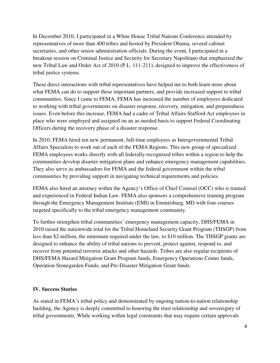In December 2010, I participated in a White House Tribal Nations Conference attended by representatives of more than 400 tribes and hosted by President Obama, several cabinet secretaries, and other senior administration officials. During the event, I participated in a breakout session on Criminal Justice and Security for Secretary Napolitano that emphasized the new Tribal Law and Order Act of 2010 (P.L. 111-211), designed to improve the effectiveness of tribal justice systems.

These direct interactions with tribal representatives have helped me to both learn more about what FEMA can do to support these important partners, and provide increased support to tribal communities. Since I came to FEMA, FEMA has increased the number of employees dedicated to working with tribal governments on disaster response, recovery, mitigation, and preparedness issues. Even before this increase, FEMA had a cadre of Tribal Affairs Stafford Act employees in place who were employed and assigned on an as-needed basis to support Federal Coordinating Officers during the recovery phase of a disaster response.

In 2010, FEMA hired ten new permanent, full-time employees as Intergovernmental Tribal Affairs Specialists to work out of each of the FEMA Regions. This new group of specialized FEMA employees works directly with all federally-recognized tribes within a region to help the communities develop disaster mitigation plans and enhance emergency management capabilities. They also serve as ambassadors for FEMA and the federal government within the tribal communities by providing support in navigating technical requirements and policies.

FEMA also hired an attorney within the Agency's Office of Chief Counsel (OCC) who is trained and experienced in Federal Indian Law. FEMA also sponsors a comprehensive training program through the Emergency Management Institute (EMI) in Emmitsburg, MD with four courses targeted specifically to the tribal emergency management community.

To further strengthen tribal communities' emergency management capacity, DHS/FEMA in 2010 raised the nationwide total for the Tribal Homeland Security Grant Program (THSGP) from less than \$2 million, the minimum required under the law, to \$10 million. The THSGP grants are designed to enhance the ability of tribal nations to prevent, protect against, respond to, and recover from potential terrorist attacks and other hazards. Tribes are also regular recipients of DHS/FEMA Hazard Mitigation Grant Program funds, Emergency Operations Center funds, Operation Stonegarden Funds, and Pre-Disaster Mitigation Grant funds.

#### **IV. Success Stories**

As stated in FEMA's tribal policy and demonstrated by ongoing nation-to-nation relationship building, the Agency is deeply committed to honoring the trust relationship and sovereignty of tribal governments. While working within legal constraints that may require certain approvals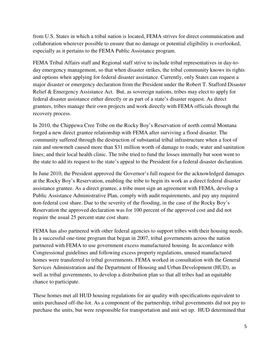from U.S. States in which a tribal nation is located, FEMA strives for direct communication and collaboration wherever possible to ensure that no damage or potential eligibility is overlooked, especially as it pertains to the FEMA Public Assistance program.

FEMA Tribal Affairs staff and Regional staff strive to include tribal representatives in day-today emergency management, so that when disaster strikes, the tribal community knows its rights and options when applying for federal disaster assistance. Currently, only States can request a major disaster or emergency declaration from the President under the Robert T. Stafford Disaster Relief & Emergency Assistance Act. But, as sovereign nations, tribes may elect to apply for federal disaster assistance either directly or as part of a state's disaster request. As direct grantees, tribes manage their own projects and work directly with FEMA officials through the recovery process.

In 2010, the Chippewa Cree Tribe on the Rocky Boy's Reservation of north central Montana forged a new direct grantee relationship with FEMA after surviving a flood disaster. The community suffered through the destruction of substantial tribal infrastructure when a foot of rain and snowmelt caused more than \$31 million worth of damage to roads; water and sanitation lines; and their local health clinic. The tribe tried to fund the losses internally but soon went to the state to add its request to the state's appeal to the President for a federal disaster declaration.

In June 2010, the President approved the Governor's full request for the acknowledged damages at the Rocky Boy's Reservation, enabling the tribe to begin its work as a direct federal disaster assistance grantee. As a direct grantee, a tribe must sign an agreement with FEMA, develop a Public Assistance Administrative Plan, comply with audit requirements, and pay any required non-federal cost share. Due to the severity of the flooding, in the case of the Rocky Boy's Reservation the approved declaration was for 100 percent of the approved cost and did not require the usual 25 percent state cost share.

FEMA has also partnered with other federal agencies to support tribes with their housing needs. In a successful one-time program that began in 2007, tribal governments across the nation partnered with FEMA to use government excess manufactured housing. In accordance with Congressional guidelines and following excess property regulations, unused manufactured homes were transferred to tribal governments. FEMA worked in consultation with the General Services Administration and the Department of Housing and Urban Development (HUD), as well as tribal governments, to develop a distribution plan so that all tribes had an equitable chance to participate.

These homes met all HUD housing regulations for air quality with specifications equivalent to units purchased off-the-lot. As a component of the partnership, tribal governments did not pay to purchase the units, but were responsible for transportation and unit set up. HUD determined that